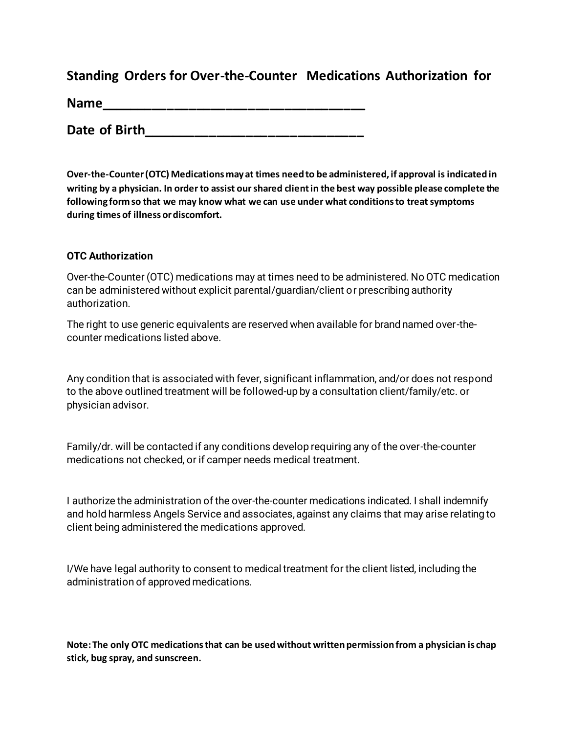## **Standing Orders for Over-the-Counter Medications Authorization for**

**Name** 

**Date of Birth\_\_\_\_\_\_\_\_\_\_\_\_\_\_\_\_\_\_\_\_\_\_\_\_\_\_\_\_\_\_**

**Over-the-Counter (OTC) Medications may at times need to be administered, if approval is indicated in writing by a physician. In order to assist our shared client in the best way possible please complete the following form so that we may know what we can use under what conditions to treat symptoms during times of illness or discomfort.** 

#### **OTC Authorization**

Over-the-Counter (OTC) medications may at times need to be administered. No OTC medication can be administered without explicit parental/guardian/client or prescribing authority authorization.

The right to use generic equivalents are reserved when available for brand named over-thecounter medications listed above.

Any condition that is associated with fever, significant inflammation, and/or does not respond to the above outlined treatment will be followed-up by a consultation client/family/etc. or physician advisor.

Family/dr. will be contacted if any conditions develop requiring any of the over-the-counter medications not checked, or if camper needs medical treatment.

I authorize the administration of the over-the-counter medications indicated. I shall indemnify and hold harmless Angels Service and associates, against any claims that may arise relating to client being administered the medications approved.

I/We have legal authority to consent to medical treatment for the client listed, including the administration of approved medications.

**Note: The only OTC medications that can be used without written permission from a physician is chap stick, bug spray, and sunscreen.**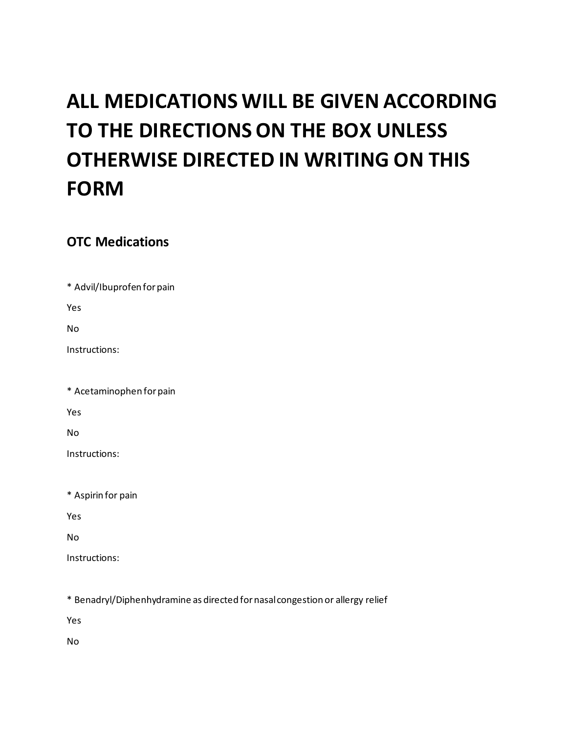# **ALL MEDICATIONS WILL BE GIVEN ACCORDING TO THE DIRECTIONS ON THE BOX UNLESS OTHERWISE DIRECTED IN WRITING ON THIS FORM**

## **OTC Medications**

\* Advil/Ibuprofen for pain

Yes

No

Instructions:

\* Acetaminophen for pain

Yes

No

Instructions:

\* Aspirin for pain

Yes

No

Instructions:

\* Benadryl/Diphenhydramine as directed for nasal congestion or allergy relief

Yes

No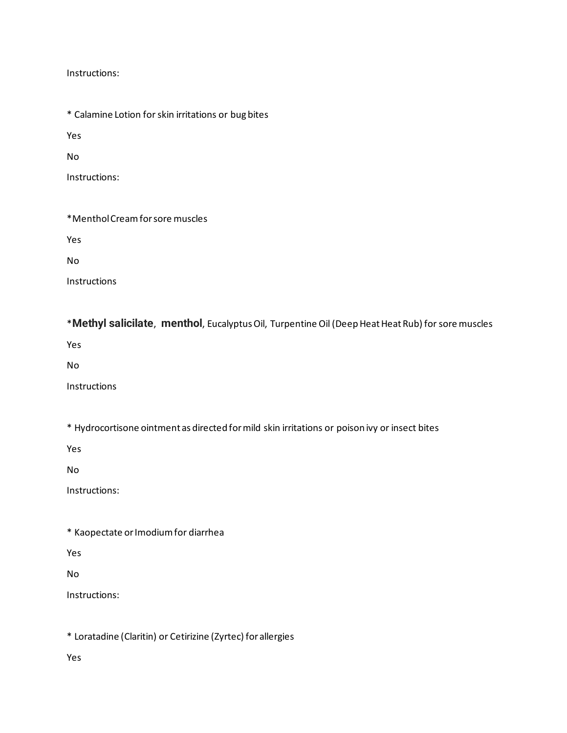Instructions:

\* Calamine Lotion for skin irritations or bug bites

Yes

No

Instructions:

\*Menthol Cream for sore muscles

Yes

No

Instructions

\***Methyl salicilate**, **menthol**, Eucalyptus Oil, Turpentine Oil (Deep Heat Heat Rub) for sore muscles

Yes

No

Instructions

\* Hydrocortisone ointment as directed for mild skin irritations or poison ivy or insect bites

Yes

No

Instructions:

\* Kaopectate or Imodium for diarrhea

Yes

No

Instructions:

\* Loratadine (Claritin) or Cetirizine (Zyrtec) for allergies

Yes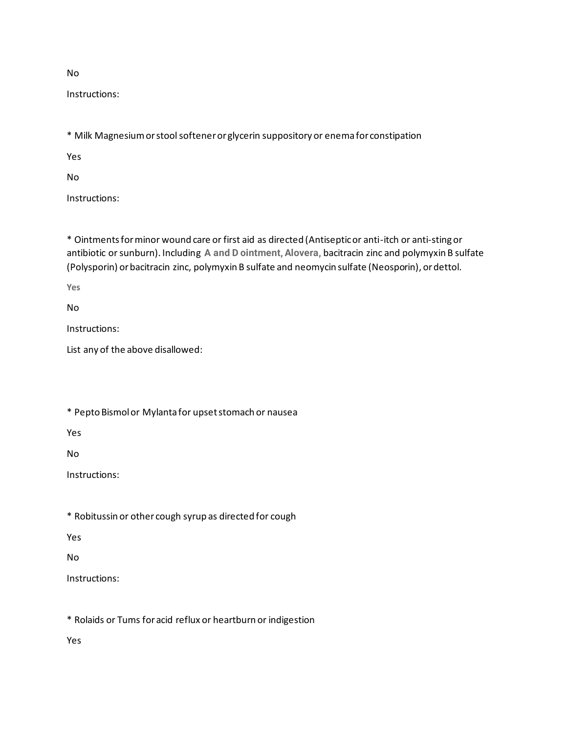No

Instructions:

\* Milk Magnesium or stool softener or glycerin suppository or enema for constipation

Yes

No

Instructions:

\* Ointments for minor wound care or first aid as directed (Antiseptic or anti-itch or anti-sting or antibiotic or sunburn). Including **A and D ointment, Alovera,** bacitracin zinc and polymyxin B sulfate (Polysporin) or bacitracin zinc, polymyxin B sulfate and neomycin sulfate (Neosporin), or dettol.

**Yes** 

No

Instructions:

List any of the above disallowed:

\* Pepto Bismol or Mylanta for upset stomach or nausea

Yes

No

Instructions:

\* Robitussin or other cough syrup as directed for cough

Yes

No

Instructions:

\* Rolaids or Tums for acid reflux or heartburn or indigestion

Yes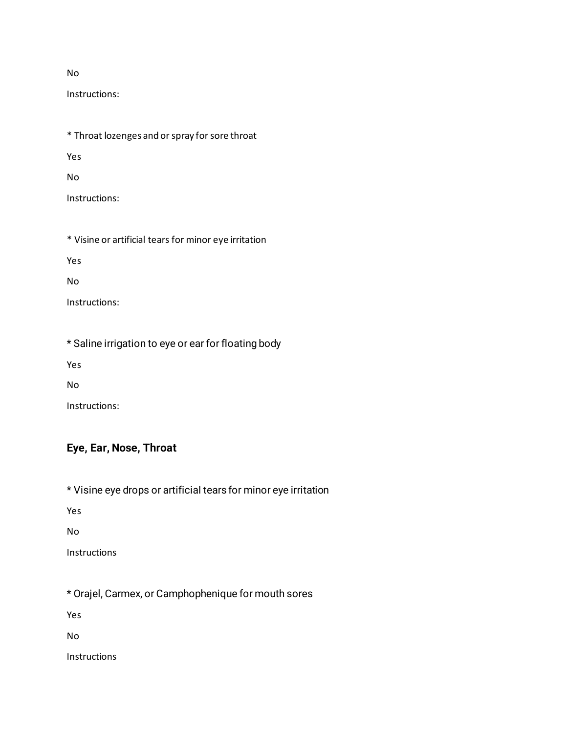#### No

Instructions:

\* Throat lozenges and or spray for sore throat

Yes

No

Instructions:

\* Visine or artificial tears for minor eye irritation

Yes

No

Instructions:

\* Saline irrigation to eye or ear for floating body

Yes

No

Instructions:

## **Eye, Ear, Nose, Throat**

\* Visine eye drops or artificial tears for minor eye irritation

Yes

No

Instructions

\* Orajel, Carmex, or Camphophenique for mouth sores

Yes

No

Instructions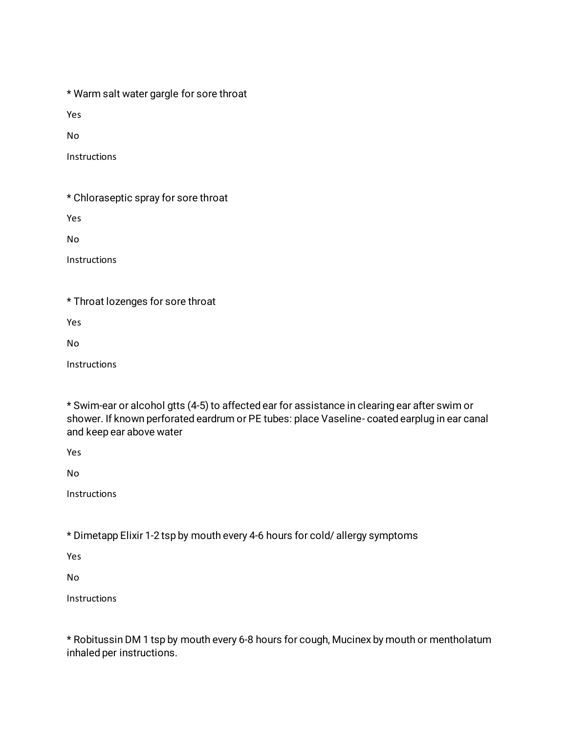\* Warm salt water gargle for sore throat

Yes

No

Instructions

\* Chloraseptic spray for sore throat

Yes

No

Instructions

\* Throat lozenges for sore throat

Yes

No

Instructions

\* Swim-ear or alcohol gtts (4-5) to affected ear for assistance in clearing ear after swim or shower. If known perforated eardrum or PE tubes: place Vaseline- coated earplug in ear canal and keep ear above water

Yes

No

Instructions

\* Dimetapp Elixir 1-2 tsp by mouth every 4-6 hours for cold/ allergy symptoms

Yes

No

Instructions

\* Robitussin DM 1 tsp by mouth every 6-8 hours for cough, Mucinex by mouth or mentholatum inhaled per instructions.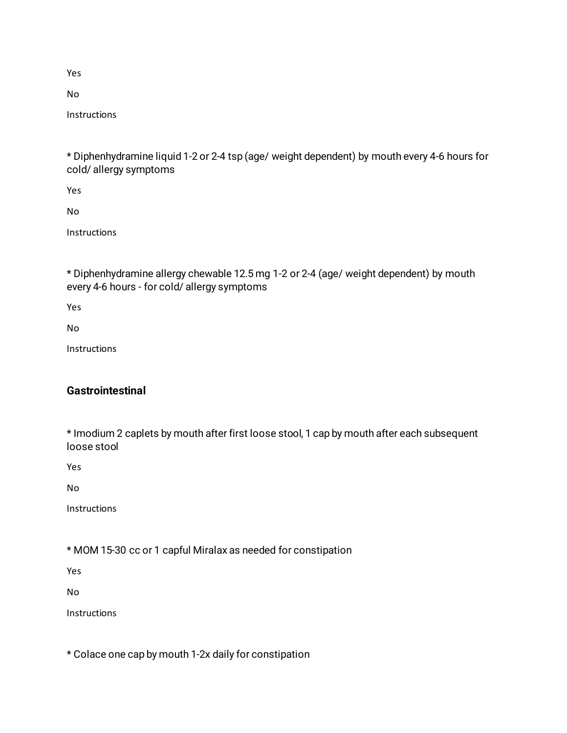Yes

No

Instructions

\* Diphenhydramine liquid 1-2 or 2-4 tsp (age/ weight dependent) by mouth every 4-6 hours for cold/ allergy symptoms

Yes

No

**Instructions** 

\* Diphenhydramine allergy chewable 12.5 mg 1-2 or 2-4 (age/ weight dependent) by mouth every 4-6 hours - for cold/ allergy symptoms

Yes

No

**Instructions** 

## **Gastrointestinal**

\* Imodium 2 caplets by mouth after first loose stool, 1 cap by mouth after each subsequent loose stool

Yes

No

Instructions

\* MOM 15-30 cc or 1 capful Miralax as needed for constipation

Yes

No

**Instructions** 

\* Colace one cap by mouth 1-2x daily for constipation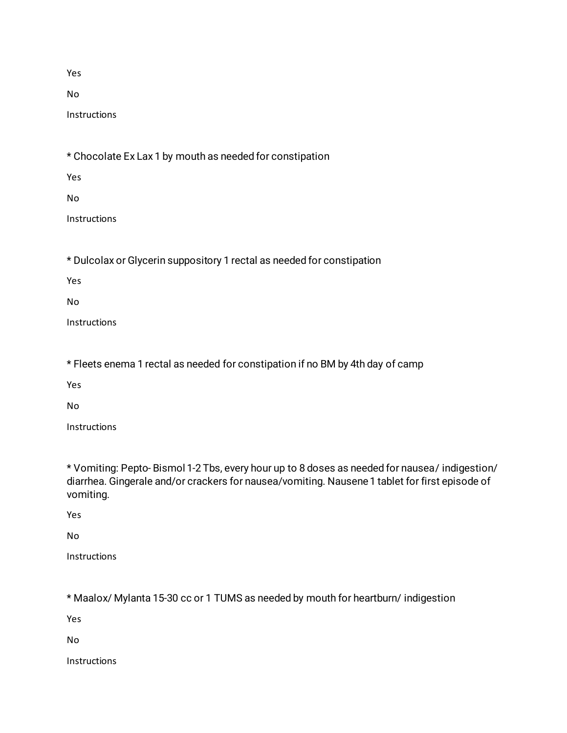Yes

No

**Instructions** 

\* Chocolate Ex Lax 1 by mouth as needed for constipation

Yes

No

Instructions

\* Dulcolax or Glycerin suppository 1 rectal as needed for constipation

Yes

No

Instructions

\* Fleets enema 1 rectal as needed for constipation if no BM by 4th day of camp

Yes

No

Instructions

\* Vomiting: Pepto- Bismol 1-2 Tbs, every hour up to 8 doses as needed for nausea/ indigestion/ diarrhea. Gingerale and/or crackers for nausea/vomiting. Nausene 1 tablet for first episode of vomiting.

Yes

No

Instructions

\* Maalox/ Mylanta 15-30 cc or 1 TUMS as needed by mouth for heartburn/ indigestion

Yes

No

Instructions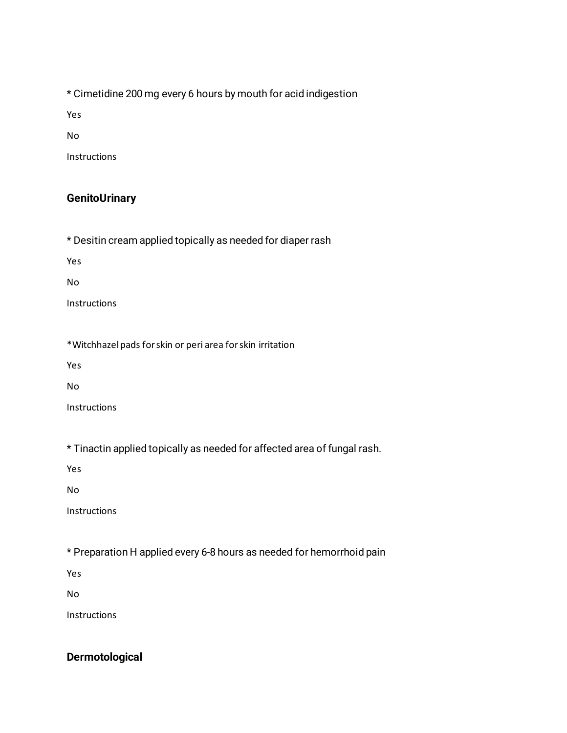\* Cimetidine 200 mg every 6 hours by mouth for acid indigestion

Yes

No

Instructions

## **GenitoUrinary**

\* Desitin cream applied topically as needed for diaper rash

Yes

No

Instructions

\*Witchhazel pads for skin or peri area for skin irritation

Yes

No

Instructions

\* Tinactin applied topically as needed for affected area of fungal rash.

Yes

No

Instructions

\* Preparation H applied every 6-8 hours as needed for hemorrhoid pain

Yes

No

Instructions

### **Dermotological**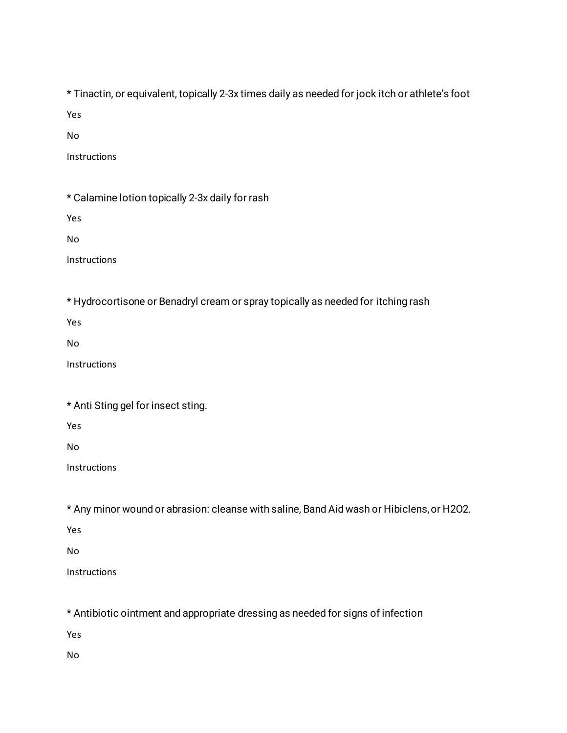\* Tinactin, or equivalent, topically 2-3x times daily as needed for jock itch or athlete's foot

Yes

No

Instructions

\* Calamine lotion topically 2-3x daily for rash

Yes

No

Instructions

\* Hydrocortisone or Benadryl cream or spray topically as needed for itching rash

Yes

No

**Instructions** 

|  |  | * Anti Sting gel for insect sting. |  |
|--|--|------------------------------------|--|
|  |  |                                    |  |

Yes

No

Instructions

\* Any minor wound or abrasion: cleanse with saline, Band Aid wash or Hibiclens, or H2O2.

Yes

No

**Instructions** 

\* Antibiotic ointment and appropriate dressing as needed for signs of infection

Yes

No